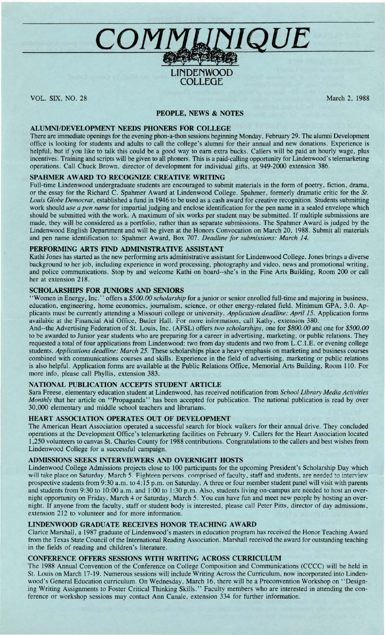# **\_\_ C\_O\_MfJJ,{J;!IQUE**

# **LIN DENWOOD COLLEGE**

VOL. SIX, NO. 28

March 2, 1988

## **PEOPLE, NEWS & NOTES**

# **ALUMNI/DEVELOPMENT NEEDS PHONERS FOR COLLEGE**

There are immediate openings for the evening phon-a-thon sessions beginning Monday , February 29. The alumni Development office is looking for students and adults to call the college's alumni for their annual and new donations. Experience is helpful, but if you like to talk this could be a good way to earn extra bucks. Callers will be paid an hourly wage, plus incentives. Training and scripts will be given to all phoners. This is a paid-calling opportunity for Lindenwood's telemarketing operations. Call Chuck Brown, director of development for individual gifts, at 949-2000 extension 386.

# **SPAHMER AWARD TO RECOGNIZE CREATIVE WRITING**

Full-time Lindenwood undergraduate students are encouraged to submit materials in the form of poetry, fiction, drama, or the essay for the Richard C. Spahmer Award at Lindenwood College. Spahmer, formerly dramatic critic for the *St. Louis Globe Democrat,* established a fund in 1946 to be used as a cash award for creative recognition. Students submitting work should *use a pen name* for impartial judging and enclose identification for the pen name in a sealed envelope which should be submitted with the work. A maximum of six works per student may be submitted. If multiple submissions are made, they will be considered as a portfolio, rather than as separate submissions. The Spahmer Award is judged by the Lindenwood English Department and will be given at the Honors Convocation on March 20, 1988. Submit all materials and pen name identification to: Spahmer Award, Box 707. *Deadline for submissions: March 14.* 

# **PERFORMING ARTS FIND ADMINISTRATIVE ASSISTANT**

Kathi Jones has started as the new performing arts administrative assistant for Lindenwood College. Jones brings a diverse background to her job, including experience in word processing, photography and video, news and promotional writing , and police communications. Stop by and welcome Kathi on board--she's in the Fine Arts Building, Room 200 or call her at extension 218.

## **SCHOLARSHIPS FOR JUNIORS AND SENIORS**

' 'Women in Energy, Inc .'' offers a *\$500. 00 scholarship* for a junior or senior enrolled full-time and majoring in business, education, engineering, home economics, journalism, science, or other energy-related field. Minimum GPA, 3.0. Applicants must be currently attending a Missouri college or university. *Application deadline: April 15.* Application forms available at the Financial Aid Office, Butler Hall. For more information, call Kathy, extension 380.

And--the Advertising Federation of St. Louis, Inc. (AFSL) offers *two scholarships,* one for *\$800. 00* and one for *\$500. 00*  to be awarded to Junior year students who are preparing for a career in advertising, marketing, or public relations. They requested a total of four applications from Lindenwood: two from day students and two from L.C.I.E. or evening college students. *Applications deadline: March 25.* These scholarships place a heavy emphasis on marketing and business courses combined with communications courses and skills. Experience in the field of advertising , marketing or public relations is also helpful. Application forms are available at the Public Relations Office, Memorial Arts Building, Room 110. For more info, please call Phyllis, extension 383 .

## **NATIONAL PUBLICATION ACCEPTS STUDENT ARTICLE**

Sara Freese , elementary education student at Lindenwood, has received notification from *School Library Media Activities Monthly* that her article on "Propaganda" has been accepted for publication. The national publication is read by over 30,000 elementary and middle school teachers and librarians.

## **HEART ASSOCIATION OPERATES OUT OF DEVELOPMENT**

The American Heart Association operated a successful search for block walkers for their annual drive. They concluded operations at the Development Office's telemarketing facilities on February 9 . Callers for the Heart Association located 1,250 volunteers to canvas St. Charles County for 1988 contributions. Congratulations to the callers and best wishes from Lindenwood College for a successful campaign.

## **ADMISSIONS SEEKS INTERVIEWERS AND OVERNIGHT HOSTS**

Lindenwood College Admissions projects close to 100 participants for the upcoming President's Scholarship Day which will take place on Saturday, March 5. Fighteen persons, comprised of faculty, staff and students, are needed to interview prospective students from 9:30 a.m. to 4:15 p.m. on Saturday. A three or four member student panel will visit with parents and students from 9:30 to 10:00 a.m. and 1:00 to 1:30 p.m. Also, students living on-campus are needed to host an overnight opportunity on Friday, March 4 or Saturday, March 5. You can have fun and meet new people by hosting an overnight. If anyone from the faculty , staff or student body is interested , please call Peter Pitts, director of day admissions, extension 212 to volunteer and for more information.

# **LINDENWOOD GRADUATE RECEIVES HONOR TEACHING AWARD**

Clarice Marshall, a 1987 graduate of Lindenwood's masters in education program has received the Honor Teaching Award from the Texas State Council of the International Reading Association . Marshall received the award for outstanding teaching in the fields of reading and children's literature.

# **CONFERENCE OFFERS SESSIONS WITH WRITING ACROSS CURRICULUM**

The 1988 Annual Convention of the Conference on College Composition and Communications (CCCC) will be held in St. Louis on March 17-19. Numerous sessions will include Writing Across the Curriculum, now incorporated into Lindenwood's General Education curriculum. On Wednesday, March 16, there will be a Preconvention Workshop on "Designing Writing Assignments to Foster Critical Thinking Skills." Faculty members who are interested in attending the conference or workshop sessions may contact Ann Canale, extension 334 for further information.